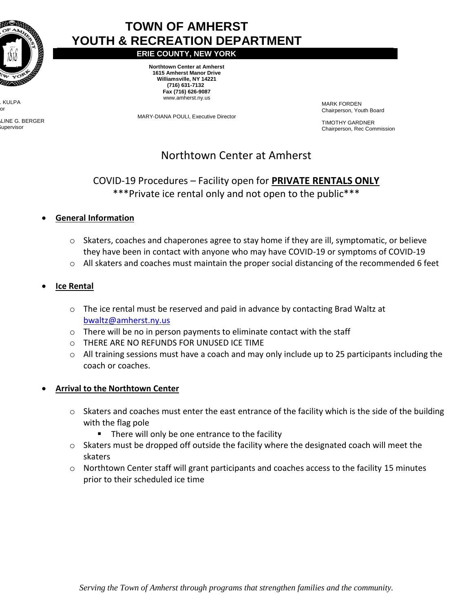

KULPA  $\alpha$ r

LINE G. BERGER Supervisor

# **TOWN OF AMHERST YOUTH & RECREATION DEPARTMENT**

**ERIE COUNTY, NEW YORK**

**Northtown Center at Amherst 1615 Amherst Manor Drive Williamsville, NY 14221 (716) 631-7132 Fax (716) 626-9087** www.amherst.ny.us

MARY-DIANA POULI, Executive Director

MARK FORDEN Chairperson, Youth Board

 TIMOTHY GARDNER Chairperson, Rec Commission

## Northtown Center at Amherst

### COVID-19 Procedures – Facility open for **PRIVATE RENTALS ONLY** \*\*\*Private ice rental only and not open to the public\*\*\*

- **General Information**
	- $\circ$  Skaters, coaches and chaperones agree to stay home if they are ill, symptomatic, or believe they have been in contact with anyone who may have COVID-19 or symptoms of COVID-19
	- o All skaters and coaches must maintain the proper social distancing of the recommended 6 feet

#### **Ice Rental**

- $\circ$  The ice rental must be reserved and paid in advance by contacting Brad Waltz at [bwaltz@amherst.ny.us](mailto:bwaltz@amherst.ny.us)
- o There will be no in person payments to eliminate contact with the staff
- o THERE ARE NO REFUNDS FOR UNUSED ICE TIME
- $\circ$  All training sessions must have a coach and may only include up to 25 participants including the coach or coaches.

#### **Arrival to the Northtown Center**

- $\circ$  Skaters and coaches must enter the east entrance of the facility which is the side of the building with the flag pole
	- **There will only be one entrance to the facility**
- o Skaters must be dropped off outside the facility where the designated coach will meet the skaters
- $\circ$  Northtown Center staff will grant participants and coaches access to the facility 15 minutes prior to their scheduled ice time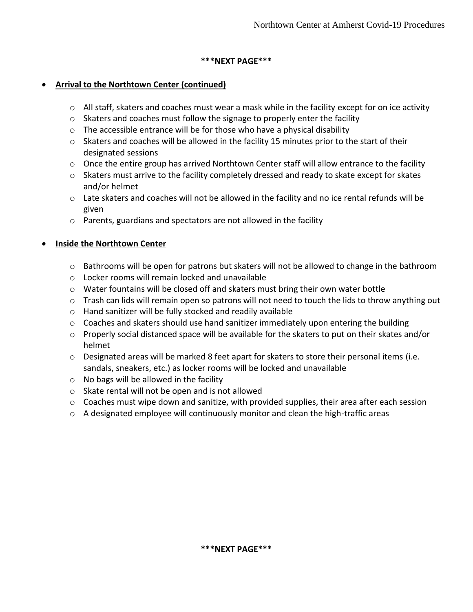#### **\*\*\*NEXT PAGE\*\*\***

#### **Arrival to the Northtown Center (continued)**

- $\circ$  All staff, skaters and coaches must wear a mask while in the facility except for on ice activity
- o Skaters and coaches must follow the signage to properly enter the facility
- o The accessible entrance will be for those who have a physical disability
- $\circ$  Skaters and coaches will be allowed in the facility 15 minutes prior to the start of their designated sessions
- $\circ$  Once the entire group has arrived Northtown Center staff will allow entrance to the facility
- $\circ$  Skaters must arrive to the facility completely dressed and ready to skate except for skates and/or helmet
- $\circ$  Late skaters and coaches will not be allowed in the facility and no ice rental refunds will be given
- o Parents, guardians and spectators are not allowed in the facility

#### **Inside the Northtown Center**

- $\circ$  Bathrooms will be open for patrons but skaters will not be allowed to change in the bathroom
- o Locker rooms will remain locked and unavailable
- o Water fountains will be closed off and skaters must bring their own water bottle
- $\circ$  Trash can lids will remain open so patrons will not need to touch the lids to throw anything out
- o Hand sanitizer will be fully stocked and readily available
- o Coaches and skaters should use hand sanitizer immediately upon entering the building
- $\circ$  Properly social distanced space will be available for the skaters to put on their skates and/or helmet
- o Designated areas will be marked 8 feet apart for skaters to store their personal items (i.e. sandals, sneakers, etc.) as locker rooms will be locked and unavailable
- $\circ$  No bags will be allowed in the facility
- o Skate rental will not be open and is not allowed
- $\circ$  Coaches must wipe down and sanitize, with provided supplies, their area after each session
- $\circ$  A designated employee will continuously monitor and clean the high-traffic areas